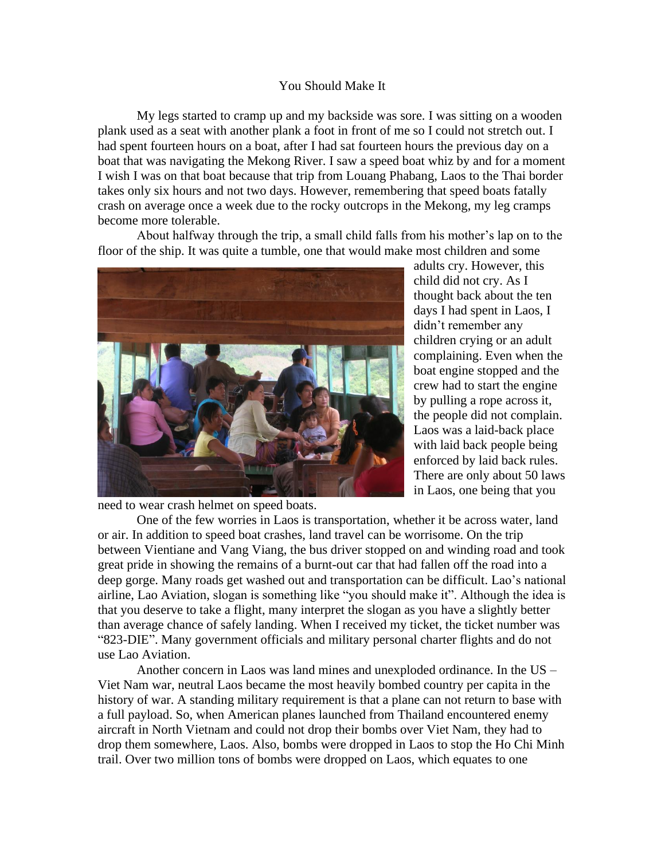## You Should Make It

My legs started to cramp up and my backside was sore. I was sitting on a wooden plank used as a seat with another plank a foot in front of me so I could not stretch out. I had spent fourteen hours on a boat, after I had sat fourteen hours the previous day on a boat that was navigating the Mekong River. I saw a speed boat whiz by and for a moment I wish I was on that boat because that trip from Louang Phabang, Laos to the Thai border takes only six hours and not two days. However, remembering that speed boats fatally crash on average once a week due to the rocky outcrops in the Mekong, my leg cramps become more tolerable.

About halfway through the trip, a small child falls from his mother's lap on to the floor of the ship. It was quite a tumble, one that would make most children and some



adults cry. However, this child did not cry. As I thought back about the ten days I had spent in Laos, I didn't remember any children crying or an adult complaining. Even when the boat engine stopped and the crew had to start the engine by pulling a rope across it, the people did not complain. Laos was a laid-back place with laid back people being enforced by laid back rules. There are only about 50 laws in Laos, one being that you

need to wear crash helmet on speed boats.

One of the few worries in Laos is transportation, whether it be across water, land or air. In addition to speed boat crashes, land travel can be worrisome. On the trip between Vientiane and Vang Viang, the bus driver stopped on and winding road and took great pride in showing the remains of a burnt-out car that had fallen off the road into a deep gorge. Many roads get washed out and transportation can be difficult. Lao's national airline, Lao Aviation, slogan is something like "you should make it". Although the idea is that you deserve to take a flight, many interpret the slogan as you have a slightly better than average chance of safely landing. When I received my ticket, the ticket number was "823-DIE". Many government officials and military personal charter flights and do not use Lao Aviation.

Another concern in Laos was land mines and unexploded ordinance. In the US – Viet Nam war, neutral Laos became the most heavily bombed country per capita in the history of war. A standing military requirement is that a plane can not return to base with a full payload. So, when American planes launched from Thailand encountered enemy aircraft in North Vietnam and could not drop their bombs over Viet Nam, they had to drop them somewhere, Laos. Also, bombs were dropped in Laos to stop the Ho Chi Minh trail. Over two million tons of bombs were dropped on Laos, which equates to one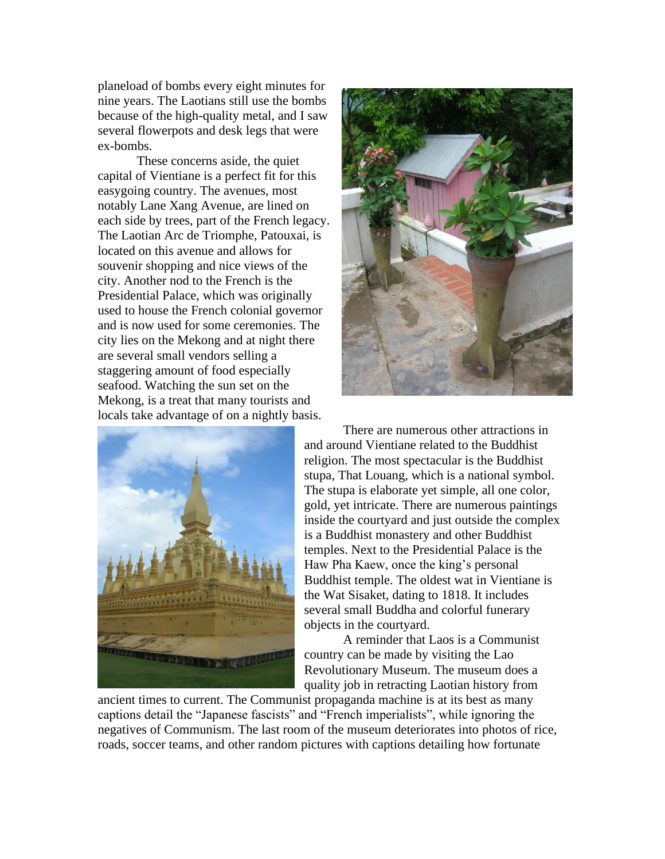planeload of bombs every eight minutes for nine years. The Laotians still use the bombs because of the high-quality metal, and I saw several flowerpots and desk legs that were ex-bombs.

These concerns aside, the quiet capital of Vientiane is a perfect fit for this easygoing country. The avenues, most notably Lane Xang Avenue, are lined on each side by trees, part of the French legacy. The Laotian Arc de Triomphe, Patouxai, is located on this avenue and allows for souvenir shopping and nice views of the city. Another nod to the French is the Presidential Palace, which was originally used to house the French colonial governor and is now used for some ceremonies. The city lies on the Mekong and at night there are several small vendors selling a staggering amount of food especially seafood. Watching the sun set on the Mekong, is a treat that many tourists and locals take advantage of on a nightly basis.





There are numerous other attractions in and around Vientiane related to the Buddhist religion. The most spectacular is the Buddhist stupa, That Louang, which is a national symbol. The stupa is elaborate yet simple, all one color, gold, yet intricate. There are numerous paintings inside the courtyard and just outside the complex is a Buddhist monastery and other Buddhist temples. Next to the Presidential Palace is the Haw Pha Kaew, once the king's personal Buddhist temple. The oldest wat in Vientiane is the Wat Sisaket, dating to 1818. It includes several small Buddha and colorful funerary objects in the courtyard.

A reminder that Laos is a Communist country can be made by visiting the Lao Revolutionary Museum. The museum does a quality job in retracting Laotian history from

ancient times to current. The Communist propaganda machine is at its best as many captions detail the "Japanese fascists" and "French imperialists", while ignoring the negatives of Communism. The last room of the museum deteriorates into photos of rice, roads, soccer teams, and other random pictures with captions detailing how fortunate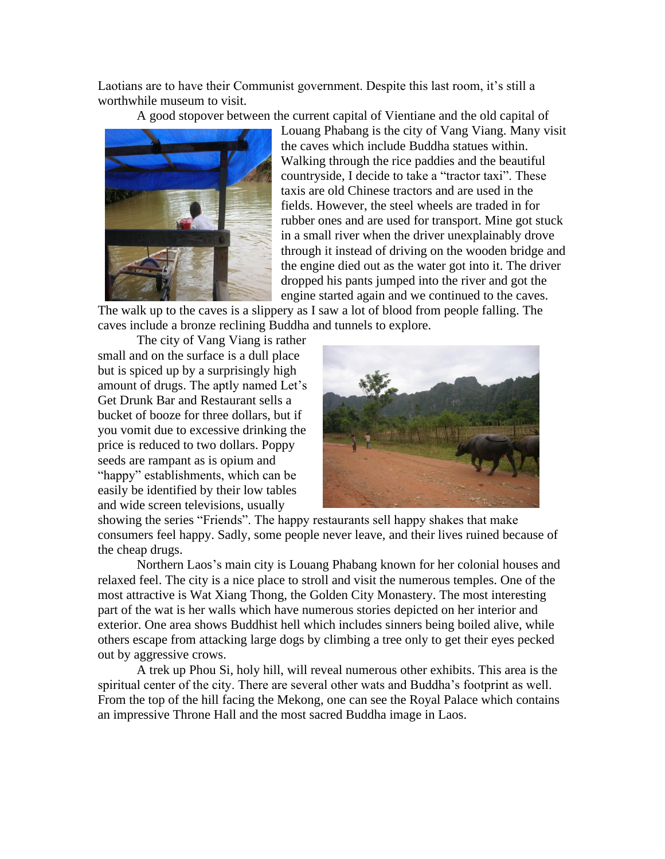Laotians are to have their Communist government. Despite this last room, it's still a worthwhile museum to visit.

A good stopover between the current capital of Vientiane and the old capital of



Louang Phabang is the city of Vang Viang. Many visit the caves which include Buddha statues within. Walking through the rice paddies and the beautiful countryside, I decide to take a "tractor taxi". These taxis are old Chinese tractors and are used in the fields. However, the steel wheels are traded in for rubber ones and are used for transport. Mine got stuck in a small river when the driver unexplainably drove through it instead of driving on the wooden bridge and the engine died out as the water got into it. The driver dropped his pants jumped into the river and got the engine started again and we continued to the caves.

The walk up to the caves is a slippery as I saw a lot of blood from people falling. The caves include a bronze reclining Buddha and tunnels to explore.

The city of Vang Viang is rather small and on the surface is a dull place but is spiced up by a surprisingly high amount of drugs. The aptly named Let's Get Drunk Bar and Restaurant sells a bucket of booze for three dollars, but if you vomit due to excessive drinking the price is reduced to two dollars. Poppy seeds are rampant as is opium and "happy" establishments, which can be easily be identified by their low tables and wide screen televisions, usually



showing the series "Friends". The happy restaurants sell happy shakes that make consumers feel happy. Sadly, some people never leave, and their lives ruined because of the cheap drugs.

Northern Laos's main city is Louang Phabang known for her colonial houses and relaxed feel. The city is a nice place to stroll and visit the numerous temples. One of the most attractive is Wat Xiang Thong, the Golden City Monastery. The most interesting part of the wat is her walls which have numerous stories depicted on her interior and exterior. One area shows Buddhist hell which includes sinners being boiled alive, while others escape from attacking large dogs by climbing a tree only to get their eyes pecked out by aggressive crows.

A trek up Phou Si, holy hill, will reveal numerous other exhibits. This area is the spiritual center of the city. There are several other wats and Buddha's footprint as well. From the top of the hill facing the Mekong, one can see the Royal Palace which contains an impressive Throne Hall and the most sacred Buddha image in Laos.